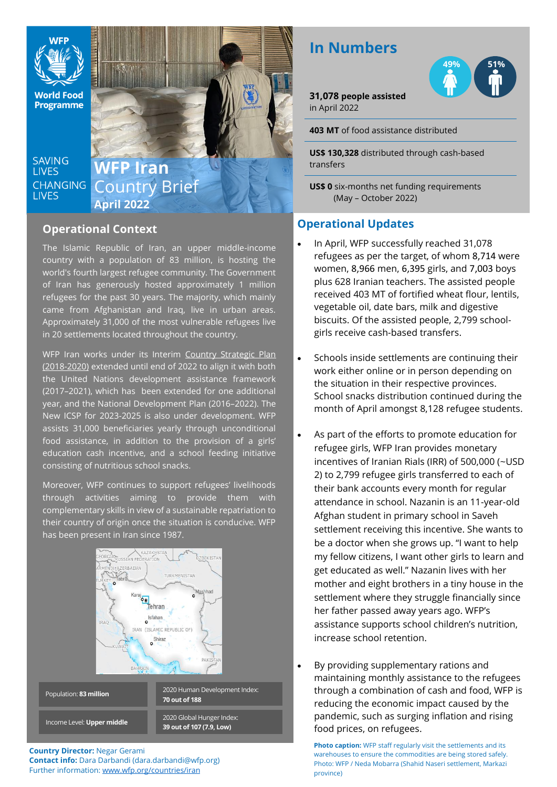

**World Food Programme** 

**SAVING LIVES CHANGING LIVES** 

## **WFP Iran** Country Brief **April 2022**

### **Operational Context**

The Islamic Republic of Iran, an upper middle-income country with a population of 83 million, is hosting the world's fourth largest refugee community. The Government of Iran has generously hosted approximately 1 million refugees for the past 30 years. The majority, which mainly came from Afghanistan and Iraq, live in urban areas. Approximately 31,000 of the most vulnerable refugees live in 20 settlements located throughout the country.

WFP Iran works under its Interim Country Strategic Plan [\(2018-2020\)](https://www.wfp.org/operations/ir01-iran-country-strategic-plan-2018-2020) extended until end of 2022 to align it with both the United Nations development assistance framework (2017–2021), which has been extended for one additional year, and the National Development Plan (2016–2022). The New ICSP for 2023-2025 is also under development. WFP assists 31,000 beneficiaries yearly through unconditional food assistance, in addition to the provision of a girls' education cash incentive, and a school feeding initiative consisting of nutritious school snacks.

Moreover, WFP continues to support refugees' livelihoods through activities aiming to provide them with complementary skills in view of a sustainable repatriation to their country of origin once the situation is conducive. WFP has been present in Iran since 1987.



**Country Director:** Negar Gerami **Contact info:** Dara Darbandi (dara.darbandi@wfp.org) Further information: [www.wfp.org/countries/iran](http://www.wfp.org/countries/iran)

# **In Numbers**

**31,078 people assisted** in April 2022

**403 MT** of food assistance distributed

**US\$ 130,328** distributed through cash-based transfers

**US\$ 0** six-months net funding requirements (May – October 2022)

### **Operational Updates**

- In April, WFP successfully reached 31,078 refugees as per the target, of whom 8,714 were women, 8,966 men, 6,395 girls, and 7,003 boys plus 628 Iranian teachers. The assisted people received 403 MT of fortified wheat flour, lentils, vegetable oil, date bars, milk and digestive biscuits. Of the assisted people, 2,799 schoolgirls receive cash-based transfers.
- Schools inside settlements are continuing their work either online or in person depending on the situation in their respective provinces. School snacks distribution continued during the month of April amongst 8,128 refugee students.
- As part of the efforts to promote education for refugee girls, WFP Iran provides monetary incentives of Iranian Rials (IRR) of 500,000 (~USD 2) to 2,799 refugee girls transferred to each of their bank accounts every month for regular attendance in school. Nazanin is an 11-year-old Afghan student in primary school in Saveh settlement receiving this incentive. She wants to be a doctor when she grows up. "I want to help my fellow citizens, I want other girls to learn and get educated as well." Nazanin lives with her mother and eight brothers in a tiny house in the settlement where they struggle financially since her father passed away years ago. WFP's assistance supports school children's nutrition, increase school retention.
- By providing supplementary rations and maintaining monthly assistance to the refugees through a combination of cash and food, WFP is reducing the economic impact caused by the pandemic, such as surging inflation and rising food prices, on refugees.

**Photo caption:** WFP staff regularly visit the settlements and its warehouses to ensure the commodities are being stored safely. Photo: WFP / Neda Mobarra (Shahid Naseri settlement, Markazi province)